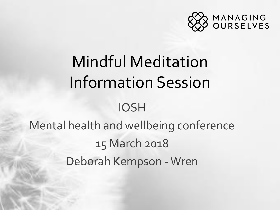

## Mindful Meditation Information Session

### IOSH

### Mental health and wellbeing conference 15 March 2018 Deborah Kempson -Wren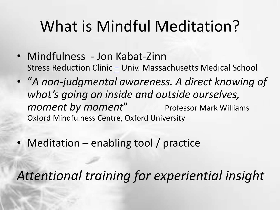## What is Mindful Meditation?

- Mindfulness Jon Kabat-Zinn Stress Reduction Clinic [–](https://en.wikipedia.org/wiki/University_of_Massachusetts_Medical_School) Univ. Massachusetts Medical School
- "*A non-judgmental awareness. A direct knowing of what's going on inside and outside ourselves, moment by moment"* Professor Mark Williams Oxford Mindfulness Centre, Oxford University
- Meditation enabling tool / practice

*Attentional training for experiential insight*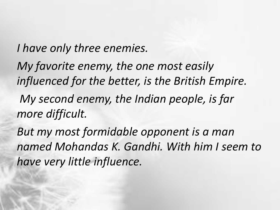*I have only three enemies.* 

*My favorite enemy, the one most easily influenced for the better, is the British Empire. My second enemy, the Indian people, is far more difficult.* 

*But my most formidable opponent is a man named Mohandas K. Gandhi. With him I seem to have very little influence.*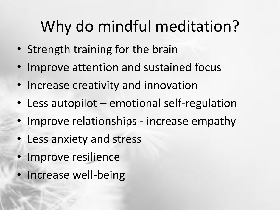## Why do mindful meditation?

- Strength training for the brain
- Improve attention and sustained focus
- Increase creativity and innovation
- Less autopilot emotional self-regulation
- Improve relationships increase empathy
- Less anxiety and stress
- Improve resilience
- Increase well-being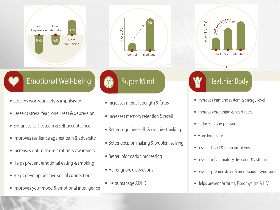



### **Emotional Well-being**

- Lessens worry, anxiety & impulsivity
- Lessens stress, fear, loneliness & depression
- Enhances self-esteem & self-acceptacnce
- Improves resilience against pain & adversity
- Increases optimism, relaxation & awareness
- Helps prevent emotional eating & smoking
- Helps develop positive social connections
- Improves your mood & emotional intelligence

### • Increases mental strength & focus

**Super Mind** 

- Increases memory retention & recall
- Better cognitive skills & creative thinking
- Better decision making & problem solving
- Better information processing
- Helps ignore distractions
- Helps manage ADHD



### **Healthier Body**

- · Improves immune system & energy level
- Improves breathing & heart rates
- · Reduces blood pressure
- More longevity
- Lessens heart & brain problems
- Lessens inflammatory disorders & asthma
- Lessens premenstrual & menopausal syndrome
- · Helps prevent Arthritis, Fibromyalgia & HIV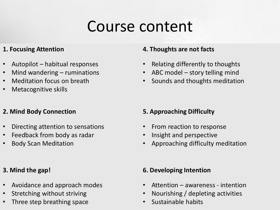## Course content

- Autopilot habitual responses
- Mind wandering ruminations
- Meditation focus on breath
- Metacognitive skills

### **2. Mind Body Connection 5. Approaching Difficulty**

- Directing attention to sensations
- Feedback from body as radar
- Body Scan Meditation

- Avoidance and approach modes
- Stretching without striving
- Three step breathing space

### **1. Focusing Attention 4. Thoughts are not facts**

- Relating differently to thoughts
- ABC model story telling mind
- Sounds and thoughts meditation

- From reaction to response
- Insight and perspective
- Approaching difficulty meditation

### **3. Mind the gap! 6. Developing Intention**

- Attention awareness intention
- Nourishing / depleting activities
- Sustainable habits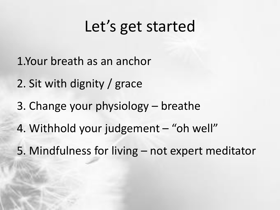## Let's get started

- 1.Your breath as an anchor
- 2. Sit with dignity / grace
- 3. Change your physiology breathe
- 4. Withhold your judgement "oh well"
- 5. Mindfulness for living not expert meditator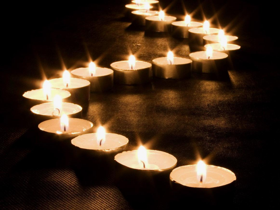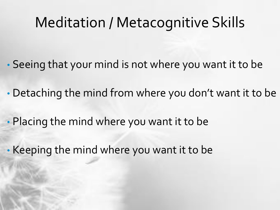### Meditation / Metacognitive Skills

- Seeing that your mind is not where you want it to be
- Detaching the mind from where you don't want it to be
- Placing the mind where you want it to be
- Keeping the mind where you want it to be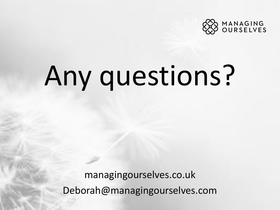

# Any questions?

managingourselves.co.uk Deborah@managingourselves.com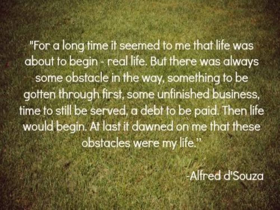"For a long time it seemed to me that life was about to begin - real life. But there was always some obstacle in the way, something to be gotten through first, some unfinished business, time to still be served, a debt to be paid. Then life would begin. At last it dawned on me that these obstacles were my life."

-Alfred d'Souza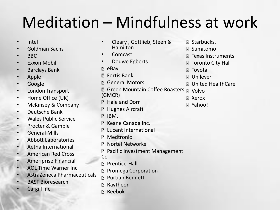## Meditation – Mindfulness at work

- Intel
- Goldman Sachs
- BBC
- Exxon Mobil
- Barclays Bank
- Apple
- Google
- London Transport
- Home Office (UK)
- McKinsey & Company
- Deutsche Bank
- Wales Public Service
- Procter & Gamble
- General Mills
- Abbott Laboratories
- Aetna International
- American Red Cross
- Ameriprise Financial
- AOL Time Warner Inc
- AstraZeneca Pharmaceuticals
- BASF Bioresearch
- Cargill Inc.
- Cleary , Gottlieb, Steen & Hamilton
- Comcast
- Douwe Egberts
- $P$  eBay
- P. Fortis Bank
- General Motors
- Green Mountain Coffee Roasters **7** Volvo (GMCR)
- Hale and Dorr
- **2 Hughes Aircraft**
- $R$  IBM.
- R Keane Canada Inc.
- **P.** Lucent International
- **P.** Medtronic
- Nortel Networks
- **Pacific Investment Management**
- Co
- Prentice-Hall
- **P** Promega Corporation
- Purtian Bennett
- **P** Raytheon
- **P** Reebok
- **P.** Starbucks.
- **P.** Sumitomo
- Texas Instruments
- **2 Toronto City Hall**
- **P** Toyota
- **7 Unilever**
- United HealthCare
- - Xerox
- **2 Yahoo!**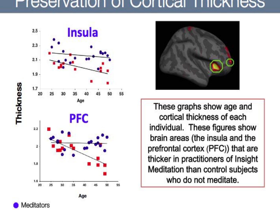### reservation or Gortical Thickhess





These graphs show age and cortical thickness of each individual. These figures show brain areas (the insula and the prefrontal cortex (PFC)) that are thicker in practitioners of Insight Meditation than control subjects who do not meditate.

**Meditators**